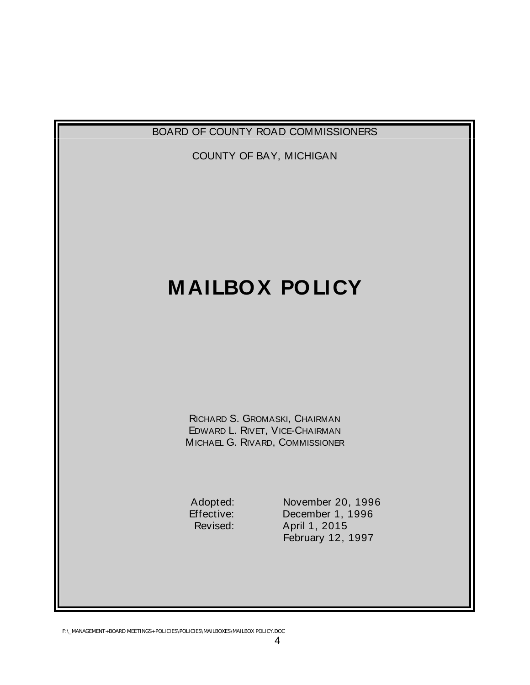

F:\\_MANAGEMENT+BOARD MEETINGS+POLICIES\POLICIES\MAILBOXES\MAILBOX POLICY.DOC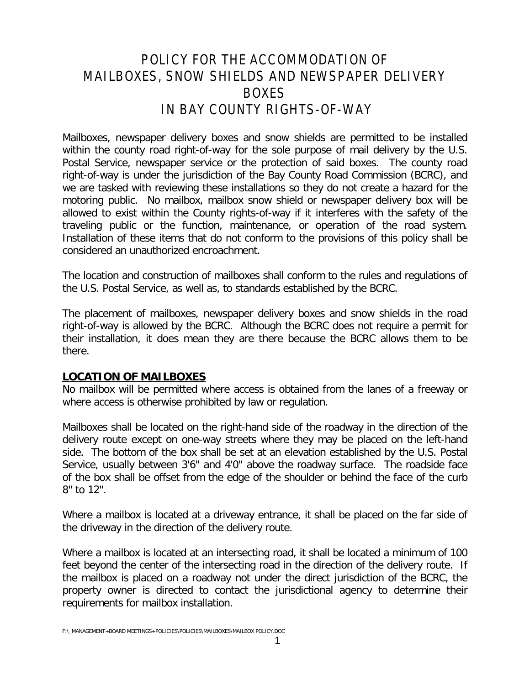# POLICY FOR THE ACCOMMODATION OF MAILBOXES, SNOW SHIELDS AND NEWSPAPER DELIVERY BOXES IN BAY COUNTY RIGHTS-OF-WAY

Mailboxes, newspaper delivery boxes and snow shields are permitted to be installed within the county road right-of-way for the sole purpose of mail delivery by the U.S. Postal Service, newspaper service or the protection of said boxes. The county road right-of-way is under the jurisdiction of the Bay County Road Commission (BCRC), and we are tasked with reviewing these installations so they do not create a hazard for the motoring public. No mailbox, mailbox snow shield or newspaper delivery box will be allowed to exist within the County rights-of-way if it interferes with the safety of the traveling public or the function, maintenance, or operation of the road system. Installation of these items that do not conform to the provisions of this policy shall be considered an unauthorized encroachment.

The location and construction of mailboxes shall conform to the rules and regulations of the U.S. Postal Service, as well as, to standards established by the BCRC.

The placement of mailboxes, newspaper delivery boxes and snow shields in the road right-of-way is allowed by the BCRC. Although the BCRC does not require a permit for their installation, it does mean they are there because the BCRC allows them to be there.

### **LOCATION OF MAILBOXES**

No mailbox will be permitted where access is obtained from the lanes of a freeway or where access is otherwise prohibited by law or regulation.

Mailboxes shall be located on the right-hand side of the roadway in the direction of the delivery route except on one-way streets where they may be placed on the left-hand side. The bottom of the box shall be set at an elevation established by the U.S. Postal Service, usually between 3'6" and 4'0" above the roadway surface. The roadside face of the box shall be offset from the edge of the shoulder or behind the face of the curb 8" to 12".

Where a mailbox is located at a driveway entrance, it shall be placed on the far side of the driveway in the direction of the delivery route.

Where a mailbox is located at an intersecting road, it shall be located a minimum of 100 feet beyond the center of the intersecting road in the direction of the delivery route. If the mailbox is placed on a roadway not under the direct jurisdiction of the BCRC, the property owner is directed to contact the jurisdictional agency to determine their requirements for mailbox installation.

F:\\_MANAGEMENT+BOARD MEETINGS+POLICIES\POLICIES\MAILBOXES\MAILBOX POLICY.DOC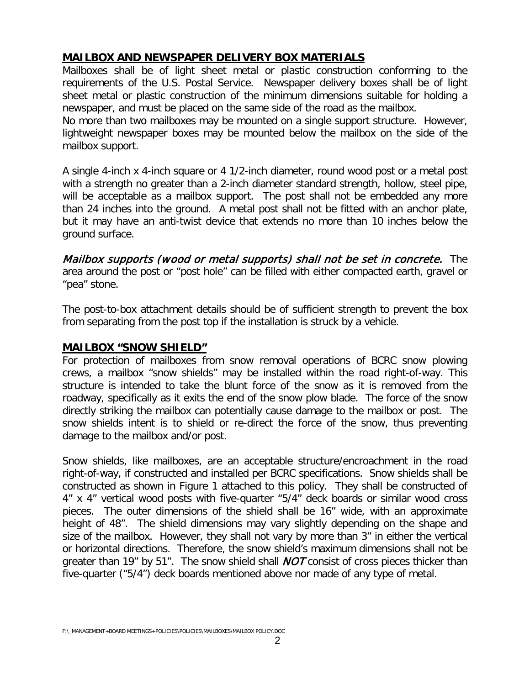## **MAILBOX AND NEWSPAPER DELIVERY BOX MATERIALS**

Mailboxes shall be of light sheet metal or plastic construction conforming to the requirements of the U.S. Postal Service. Newspaper delivery boxes shall be of light sheet metal or plastic construction of the minimum dimensions suitable for holding a newspaper, and must be placed on the same side of the road as the mailbox.

No more than two mailboxes may be mounted on a single support structure. However, lightweight newspaper boxes may be mounted below the mailbox on the side of the mailbox support.

A single 4-inch x 4-inch square or 4 1/2-inch diameter, round wood post or a metal post with a strength no greater than a 2-inch diameter standard strength, hollow, steel pipe, will be acceptable as a mailbox support. The post shall not be embedded any more than 24 inches into the ground. A metal post shall not be fitted with an anchor plate, but it may have an anti-twist device that extends no more than 10 inches below the ground surface.

Mailbox supports (wood or metal supports) shall not be set in concrete. The area around the post or "post hole" can be filled with either compacted earth, gravel or "pea" stone.

The post-to-box attachment details should be of sufficient strength to prevent the box from separating from the post top if the installation is struck by a vehicle.

#### **MAILBOX "SNOW SHIELD"**

For protection of mailboxes from snow removal operations of BCRC snow plowing crews, a mailbox "snow shields" may be installed within the road right-of-way. This structure is intended to take the blunt force of the snow as it is removed from the roadway, specifically as it exits the end of the snow plow blade. The force of the snow directly striking the mailbox can potentially cause damage to the mailbox or post. The snow shields intent is to shield or re-direct the force of the snow, thus preventing damage to the mailbox and/or post.

Snow shields, like mailboxes, are an acceptable structure/encroachment in the road right-of-way, if constructed and installed per BCRC specifications. Snow shields shall be constructed as shown in Figure 1 attached to this policy. They shall be constructed of 4" x 4" vertical wood posts with five-quarter "5/4" deck boards or similar wood cross pieces. The outer dimensions of the shield shall be 16" wide, with an approximate height of 48". The shield dimensions may vary slightly depending on the shape and size of the mailbox. However, they shall not vary by more than 3" in either the vertical or horizontal directions. Therefore, the snow shield's maximum dimensions shall not be greater than 19" by 51". The snow shield shall  $NOT$  consist of cross pieces thicker than five-quarter ("5/4") deck boards mentioned above nor made of any type of metal.

F:\\_MANAGEMENT+BOARD MEETINGS+POLICIES\POLICIES\MAILBOXES\MAILBOX POLICY.DOC